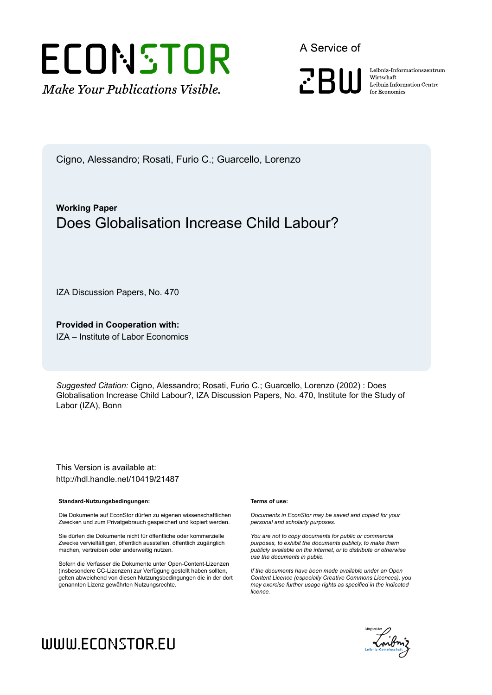

A Service of

**PRIII** 

Leibniz-Informationszentrum Wirtschaft Leibniz Information Centre for Economics

Cigno, Alessandro; Rosati, Furio C.; Guarcello, Lorenzo

## **Working Paper** Does Globalisation Increase Child Labour?

IZA Discussion Papers, No. 470

**Provided in Cooperation with:** IZA – Institute of Labor Economics

*Suggested Citation:* Cigno, Alessandro; Rosati, Furio C.; Guarcello, Lorenzo (2002) : Does Globalisation Increase Child Labour?, IZA Discussion Papers, No. 470, Institute for the Study of Labor (IZA), Bonn

This Version is available at: http://hdl.handle.net/10419/21487

#### **Standard-Nutzungsbedingungen:**

Die Dokumente auf EconStor dürfen zu eigenen wissenschaftlichen Zwecken und zum Privatgebrauch gespeichert und kopiert werden.

Sie dürfen die Dokumente nicht für öffentliche oder kommerzielle Zwecke vervielfältigen, öffentlich ausstellen, öffentlich zugänglich machen, vertreiben oder anderweitig nutzen.

Sofern die Verfasser die Dokumente unter Open-Content-Lizenzen (insbesondere CC-Lizenzen) zur Verfügung gestellt haben sollten, gelten abweichend von diesen Nutzungsbedingungen die in der dort genannten Lizenz gewährten Nutzungsrechte.

#### **Terms of use:**

*Documents in EconStor may be saved and copied for your personal and scholarly purposes.*

*You are not to copy documents for public or commercial purposes, to exhibit the documents publicly, to make them publicly available on the internet, or to distribute or otherwise use the documents in public.*

*If the documents have been made available under an Open Content Licence (especially Creative Commons Licences), you may exercise further usage rights as specified in the indicated licence.*



# WWW.ECONSTOR.EU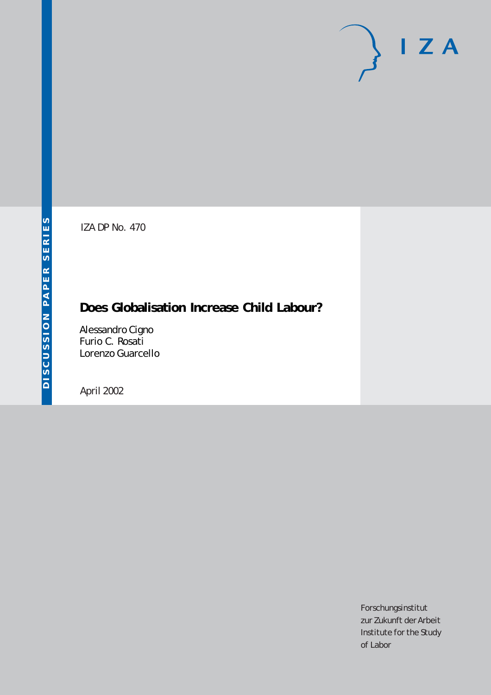IZA DP No. 470

## **Does Globalisation Increase Child Labour?**

Alessandro Cigno Furio C. Rosati Lorenzo Guarcello

April 2002

Forschungsinstitut zur Zukunft der Arbeit Institute for the Study of Labor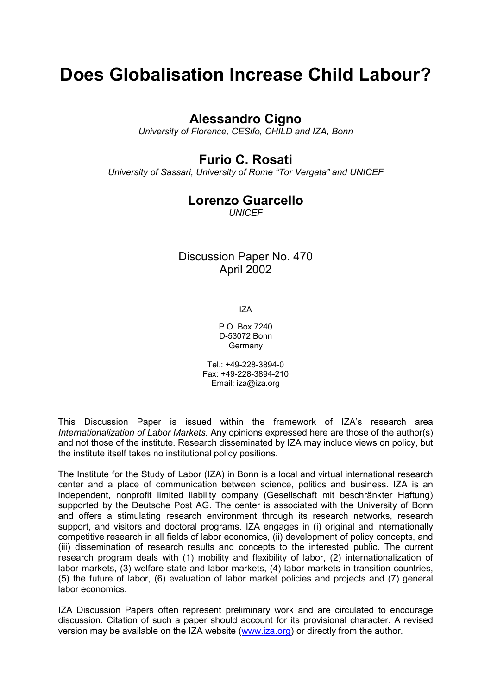# **Does Globalisation Increase Child Labour?**

### **Alessandro Cigno**

*University of Florence, CESifo, CHILD and IZA, Bonn* 

## **Furio C. Rosati**

*University of Sassari, University of Rome "Tor Vergata" and UNICEF* 

## **Lorenzo Guarcello**

*UNICEF* 

### Discussion Paper No. 470 April 2002

IZA

P.O. Box 7240 D-53072 Bonn Germany

Tel.: +49-228-3894-0 Fax: +49-228-3894-210 Email: [iza@iza.org](mailto:iza@iza.org)

This Discussion Paper is issued within the framework of IZA's research area *Internationalization of Labor Markets.* Any opinions expressed here are those of the author(s) and not those of the institute. Research disseminated by IZA may include views on policy, but the institute itself takes no institutional policy positions.

The Institute for the Study of Labor (IZA) in Bonn is a local and virtual international research center and a place of communication between science, politics and business. IZA is an independent, nonprofit limited liability company (Gesellschaft mit beschränkter Haftung) supported by the Deutsche Post AG. The center is associated with the University of Bonn and offers a stimulating research environment through its research networks, research support, and visitors and doctoral programs. IZA engages in (i) original and internationally competitive research in all fields of labor economics, (ii) development of policy concepts, and (iii) dissemination of research results and concepts to the interested public. The current research program deals with (1) mobility and flexibility of labor, (2) internationalization of labor markets, (3) welfare state and labor markets, (4) labor markets in transition countries, (5) the future of labor, (6) evaluation of labor market policies and projects and (7) general labor economics.

IZA Discussion Papers often represent preliminary work and are circulated to encourage discussion. Citation of such a paper should account for its provisional character. A revised version may be available on the IZA website ([www.iza.org](http://www.iza.org/)) or directly from the author.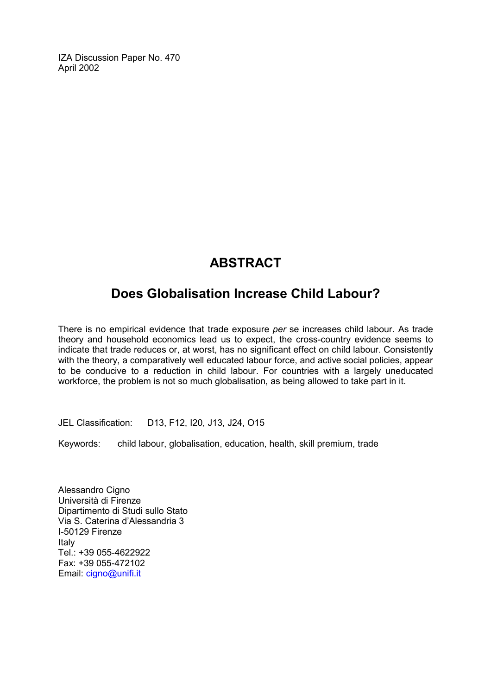IZA Discussion Paper No. 470 April 2002

## **ABSTRACT**

## **Does Globalisation Increase Child Labour?**

There is no empirical evidence that trade exposure *per* se increases child labour. As trade theory and household economics lead us to expect, the cross-country evidence seems to indicate that trade reduces or, at worst, has no significant effect on child labour. Consistently with the theory, a comparatively well educated labour force, and active social policies, appear to be conducive to a reduction in child labour. For countries with a largely uneducated workforce, the problem is not so much globalisation, as being allowed to take part in it.

JEL Classification: D13, F12, I20, J13, J24, O15

Keywords: child labour, globalisation, education, health, skill premium, trade

Alessandro Cigno Università di Firenze Dipartimento di Studi sullo Stato Via S. Caterina d'Alessandria 3 I-50129 Firenze Italy Tel.: +39 055-4622922 Fax: +39 055-472102 Email: [cigno@unifi.it](mailto:cigno@unifi.it)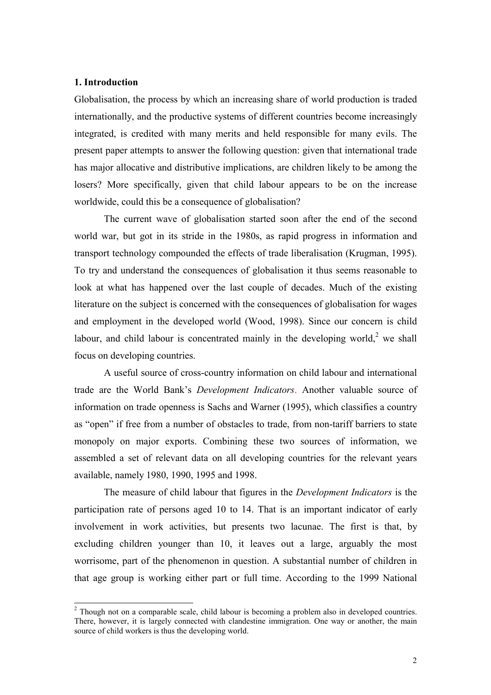#### **1. Introduction**

 $\overline{\phantom{a}}$ 

Globalisation, the process by which an increasing share of world production is traded internationally, and the productive systems of different countries become increasingly integrated, is credited with many merits and held responsible for many evils. The present paper attempts to answer the following question: given that international trade has major allocative and distributive implications, are children likely to be among the losers? More specifically, given that child labour appears to be on the increase worldwide, could this be a consequence of globalisation?

The current wave of globalisation started soon after the end of the second world war, but got in its stride in the 1980s, as rapid progress in information and transport technology compounded the effects of trade liberalisation (Krugman, 1995). To try and understand the consequences of globalisation it thus seems reasonable to look at what has happened over the last couple of decades. Much of the existing literature on the subject is concerned with the consequences of globalisation for wages and employment in the developed world (Wood, 1998). Since our concern is child labour, and child labour is concentrated mainly in the developing world,<sup>2</sup> we shall focus on developing countries.

A useful source of cross-country information on child labour and international trade are the World Bank's *Development Indicators*. Another valuable source of information on trade openness is Sachs and Warner (1995), which classifies a country as "open" if free from a number of obstacles to trade, from non-tariff barriers to state monopoly on major exports. Combining these two sources of information, we assembled a set of relevant data on all developing countries for the relevant years available, namely 1980, 1990, 1995 and 1998.

The measure of child labour that figures in the *Development Indicators* is the participation rate of persons aged 10 to 14. That is an important indicator of early involvement in work activities, but presents two lacunae. The first is that, by excluding children younger than 10, it leaves out a large, arguably the most worrisome, part of the phenomenon in question. A substantial number of children in that age group is working either part or full time. According to the 1999 National

 $2^2$  Though not on a comparable scale, child labour is becoming a problem also in developed countries. There, however, it is largely connected with clandestine immigration. One way or another, the main source of child workers is thus the developing world.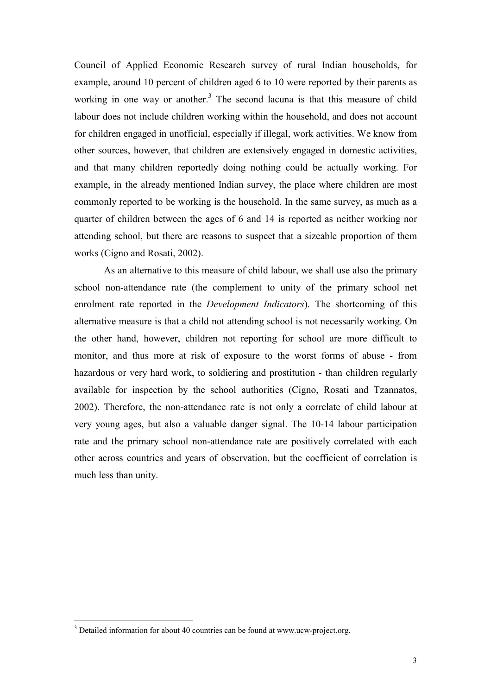Council of Applied Economic Research survey of rural Indian households, for example, around 10 percent of children aged 6 to 10 were reported by their parents as working in one way or another.<sup>3</sup> The second lacuna is that this measure of child labour does not include children working within the household, and does not account for children engaged in unofficial, especially if illegal, work activities. We know from other sources, however, that children are extensively engaged in domestic activities, and that many children reportedly doing nothing could be actually working. For example, in the already mentioned Indian survey, the place where children are most commonly reported to be working is the household. In the same survey, as much as a quarter of children between the ages of 6 and 14 is reported as neither working nor attending school, but there are reasons to suspect that a sizeable proportion of them works (Cigno and Rosati, 2002).

As an alternative to this measure of child labour, we shall use also the primary school non-attendance rate (the complement to unity of the primary school net enrolment rate reported in the *Development Indicators*). The shortcoming of this alternative measure is that a child not attending school is not necessarily working. On the other hand, however, children not reporting for school are more difficult to monitor, and thus more at risk of exposure to the worst forms of abuse - from hazardous or very hard work, to soldiering and prostitution - than children regularly available for inspection by the school authorities (Cigno, Rosati and Tzannatos, 2002). Therefore, the non-attendance rate is not only a correlate of child labour at very young ages, but also a valuable danger signal. The 10-14 labour participation rate and the primary school non-attendance rate are positively correlated with each other across countries and years of observation, but the coefficient of correlation is much less than unity.

 $\overline{\phantom{a}}$ 

<sup>&</sup>lt;sup>3</sup> Detailed information for about 40 countries can be found at www.ucw-project.org.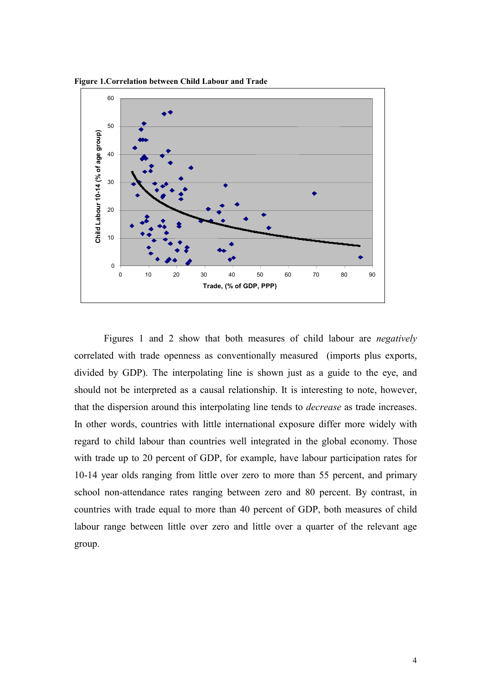**Figure 1.Correlation between Child Labour and Trade** 



Figures 1 and 2 show that both measures of child labour are *negatively* correlated with trade openness as conventionally measured (imports plus exports, divided by GDP). The interpolating line is shown just as a guide to the eye, and should not be interpreted as a causal relationship. It is interesting to note, however, that the dispersion around this interpolating line tends to *decrease* as trade increases. In other words, countries with little international exposure differ more widely with regard to child labour than countries well integrated in the global economy. Those with trade up to 20 percent of GDP, for example, have labour participation rates for 10-14 year olds ranging from little over zero to more than 55 percent, and primary school non-attendance rates ranging between zero and 80 percent. By contrast, in countries with trade equal to more than 40 percent of GDP, both measures of child labour range between little over zero and little over a quarter of the relevant age group.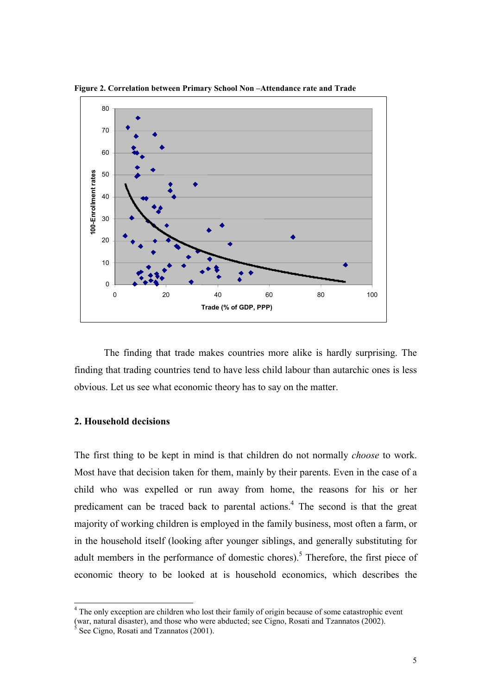

**Figure 2. Correlation between Primary School Non –Attendance rate and Trade** 

The finding that trade makes countries more alike is hardly surprising. The finding that trading countries tend to have less child labour than autarchic ones is less obvious. Let us see what economic theory has to say on the matter.

#### **2. Household decisions**

The first thing to be kept in mind is that children do not normally *choose* to work. Most have that decision taken for them, mainly by their parents. Even in the case of a child who was expelled or run away from home, the reasons for his or her predicament can be traced back to parental actions.<sup>4</sup> The second is that the great majority of working children is employed in the family business, most often a farm, or in the household itself (looking after younger siblings, and generally substituting for adult members in the performance of domestic chores).<sup>5</sup> Therefore, the first piece of economic theory to be looked at is household economics, which describes the

<sup>&</sup>lt;sup>4</sup> The only exception are children who lost their family of origin because of some catastrophic event (war, natural disaster), and those who were abducted; see Cigno, Rosati and Tzannatos (2002).

<sup>5</sup> See Cigno, Rosati and Tzannatos (2001).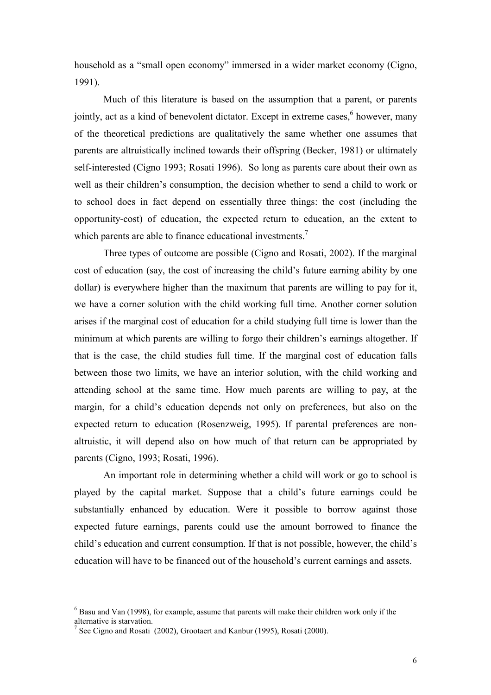household as a "small open economy" immersed in a wider market economy (Cigno, 1991).

Much of this literature is based on the assumption that a parent, or parents jointly, act as a kind of benevolent dictator. Except in extreme cases,  $6$  however, many of the theoretical predictions are qualitatively the same whether one assumes that parents are altruistically inclined towards their offspring (Becker, 1981) or ultimately self-interested (Cigno 1993; Rosati 1996). So long as parents care about their own as well as their children's consumption, the decision whether to send a child to work or to school does in fact depend on essentially three things: the cost (including the opportunity-cost) of education, the expected return to education, an the extent to which parents are able to finance educational investments.<sup>7</sup>

Three types of outcome are possible (Cigno and Rosati, 2002). If the marginal cost of education (say, the cost of increasing the child's future earning ability by one dollar) is everywhere higher than the maximum that parents are willing to pay for it, we have a corner solution with the child working full time. Another corner solution arises if the marginal cost of education for a child studying full time is lower than the minimum at which parents are willing to forgo their children's earnings altogether. If that is the case, the child studies full time. If the marginal cost of education falls between those two limits, we have an interior solution, with the child working and attending school at the same time. How much parents are willing to pay, at the margin, for a child's education depends not only on preferences, but also on the expected return to education (Rosenzweig, 1995). If parental preferences are nonaltruistic, it will depend also on how much of that return can be appropriated by parents (Cigno, 1993; Rosati, 1996).

An important role in determining whether a child will work or go to school is played by the capital market. Suppose that a child's future earnings could be substantially enhanced by education. Were it possible to borrow against those expected future earnings, parents could use the amount borrowed to finance the child's education and current consumption. If that is not possible, however, the child's education will have to be financed out of the household's current earnings and assets.

 $\overline{\phantom{a}}$ 

 $6$  Basu and Van (1998), for example, assume that parents will make their children work only if the alternative is starvation.

<sup>&</sup>lt;sup>7</sup> See Cigno and Rosati (2002), Grootaert and Kanbur (1995), Rosati (2000).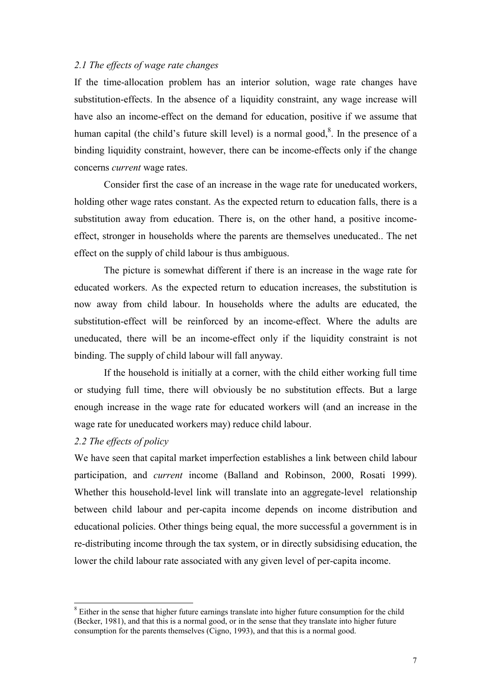#### *2.1 The effects of wage rate changes*

If the time-allocation problem has an interior solution, wage rate changes have substitution-effects. In the absence of a liquidity constraint, any wage increase will have also an income-effect on the demand for education, positive if we assume that human capital (the child's future skill level) is a normal good,<sup>8</sup>. In the presence of a binding liquidity constraint, however, there can be income-effects only if the change concerns *current* wage rates.

 Consider first the case of an increase in the wage rate for uneducated workers, holding other wage rates constant. As the expected return to education falls, there is a substitution away from education. There is, on the other hand, a positive incomeeffect, stronger in households where the parents are themselves uneducated.. The net effect on the supply of child labour is thus ambiguous.

 The picture is somewhat different if there is an increase in the wage rate for educated workers. As the expected return to education increases, the substitution is now away from child labour. In households where the adults are educated, the substitution-effect will be reinforced by an income-effect. Where the adults are uneducated, there will be an income-effect only if the liquidity constraint is not binding. The supply of child labour will fall anyway.

If the household is initially at a corner, with the child either working full time or studying full time, there will obviously be no substitution effects. But a large enough increase in the wage rate for educated workers will (and an increase in the wage rate for uneducated workers may) reduce child labour.

#### *2.2 The effects of policy*

 $\overline{\phantom{a}}$ 

We have seen that capital market imperfection establishes a link between child labour participation, and *current* income (Balland and Robinson, 2000, Rosati 1999). Whether this household-level link will translate into an aggregate-level relationship between child labour and per-capita income depends on income distribution and educational policies. Other things being equal, the more successful a government is in re-distributing income through the tax system, or in directly subsidising education, the lower the child labour rate associated with any given level of per-capita income.

 $8$  Either in the sense that higher future earnings translate into higher future consumption for the child (Becker, 1981), and that this is a normal good, or in the sense that they translate into higher future consumption for the parents themselves (Cigno, 1993), and that this is a normal good.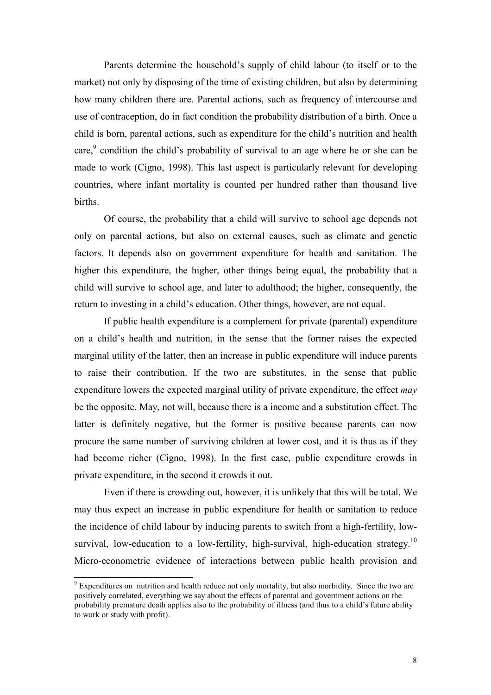Parents determine the household's supply of child labour (to itself or to the market) not only by disposing of the time of existing children, but also by determining how many children there are. Parental actions, such as frequency of intercourse and use of contraception, do in fact condition the probability distribution of a birth. Once a child is born, parental actions, such as expenditure for the child's nutrition and health care, $9$  condition the child's probability of survival to an age where he or she can be made to work (Cigno, 1998). This last aspect is particularly relevant for developing countries, where infant mortality is counted per hundred rather than thousand live births.

 Of course, the probability that a child will survive to school age depends not only on parental actions, but also on external causes, such as climate and genetic factors. It depends also on government expenditure for health and sanitation. The higher this expenditure, the higher, other things being equal, the probability that a child will survive to school age, and later to adulthood; the higher, consequently, the return to investing in a child's education. Other things, however, are not equal.

 If public health expenditure is a complement for private (parental) expenditure on a child's health and nutrition, in the sense that the former raises the expected marginal utility of the latter, then an increase in public expenditure will induce parents to raise their contribution. If the two are substitutes, in the sense that public expenditure lowers the expected marginal utility of private expenditure, the effect *may* be the opposite. May, not will, because there is a income and a substitution effect. The latter is definitely negative, but the former is positive because parents can now procure the same number of surviving children at lower cost, and it is thus as if they had become richer (Cigno, 1998). In the first case, public expenditure crowds in private expenditure, in the second it crowds it out.

 Even if there is crowding out, however, it is unlikely that this will be total. We may thus expect an increase in public expenditure for health or sanitation to reduce the incidence of child labour by inducing parents to switch from a high-fertility, lowsurvival, low-education to a low-fertility, high-survival, high-education strategy.<sup>10</sup> Micro-econometric evidence of interactions between public health provision and

<sup>&</sup>lt;sup>9</sup> Expenditures on nutrition and health reduce not only mortality, but also morbidity. Since the two are positively correlated, everything we say about the effects of parental and government actions on the probability premature death applies also to the probability of illness (and thus to a child's future ability to work or study with profit).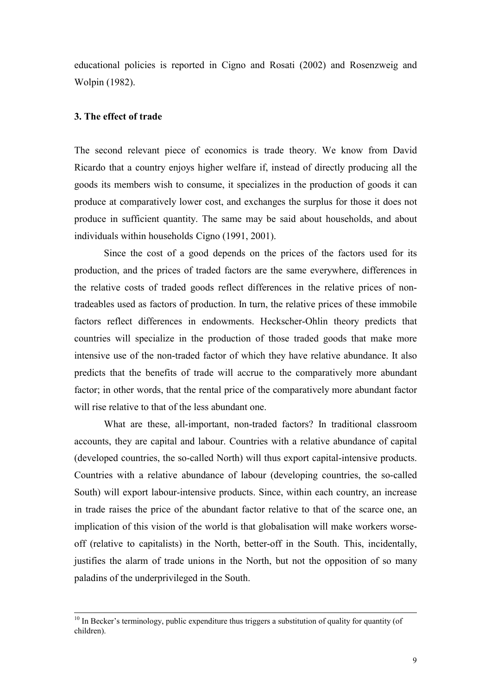educational policies is reported in Cigno and Rosati (2002) and Rosenzweig and Wolpin (1982).

#### **3. The effect of trade**

The second relevant piece of economics is trade theory. We know from David Ricardo that a country enjoys higher welfare if, instead of directly producing all the goods its members wish to consume, it specializes in the production of goods it can produce at comparatively lower cost, and exchanges the surplus for those it does not produce in sufficient quantity. The same may be said about households, and about individuals within households Cigno (1991, 2001).

 Since the cost of a good depends on the prices of the factors used for its production, and the prices of traded factors are the same everywhere, differences in the relative costs of traded goods reflect differences in the relative prices of nontradeables used as factors of production. In turn, the relative prices of these immobile factors reflect differences in endowments. Heckscher-Ohlin theory predicts that countries will specialize in the production of those traded goods that make more intensive use of the non-traded factor of which they have relative abundance. It also predicts that the benefits of trade will accrue to the comparatively more abundant factor; in other words, that the rental price of the comparatively more abundant factor will rise relative to that of the less abundant one.

 What are these, all-important, non-traded factors? In traditional classroom accounts, they are capital and labour. Countries with a relative abundance of capital (developed countries, the so-called North) will thus export capital-intensive products. Countries with a relative abundance of labour (developing countries, the so-called South) will export labour-intensive products. Since, within each country, an increase in trade raises the price of the abundant factor relative to that of the scarce one, an implication of this vision of the world is that globalisation will make workers worseoff (relative to capitalists) in the North, better-off in the South. This, incidentally, justifies the alarm of trade unions in the North, but not the opposition of so many paladins of the underprivileged in the South.

<sup>&</sup>lt;sup>10</sup> In Becker's terminology, public expenditure thus triggers a substitution of quality for quantity (of children).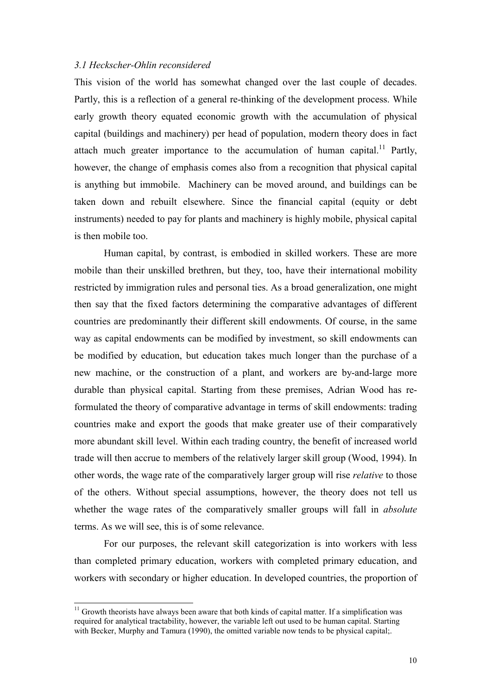#### *3.1 Heckscher-Ohlin reconsidered*

This vision of the world has somewhat changed over the last couple of decades. Partly, this is a reflection of a general re-thinking of the development process. While early growth theory equated economic growth with the accumulation of physical capital (buildings and machinery) per head of population, modern theory does in fact attach much greater importance to the accumulation of human capital.<sup>11</sup> Partly, however, the change of emphasis comes also from a recognition that physical capital is anything but immobile. Machinery can be moved around, and buildings can be taken down and rebuilt elsewhere. Since the financial capital (equity or debt instruments) needed to pay for plants and machinery is highly mobile, physical capital is then mobile too.

 Human capital, by contrast, is embodied in skilled workers. These are more mobile than their unskilled brethren, but they, too, have their international mobility restricted by immigration rules and personal ties. As a broad generalization, one might then say that the fixed factors determining the comparative advantages of different countries are predominantly their different skill endowments. Of course, in the same way as capital endowments can be modified by investment, so skill endowments can be modified by education, but education takes much longer than the purchase of a new machine, or the construction of a plant, and workers are by-and-large more durable than physical capital. Starting from these premises, Adrian Wood has reformulated the theory of comparative advantage in terms of skill endowments: trading countries make and export the goods that make greater use of their comparatively more abundant skill level. Within each trading country, the benefit of increased world trade will then accrue to members of the relatively larger skill group (Wood, 1994). In other words, the wage rate of the comparatively larger group will rise *relative* to those of the others. Without special assumptions, however, the theory does not tell us whether the wage rates of the comparatively smaller groups will fall in *absolute* terms. As we will see, this is of some relevance.

 For our purposes, the relevant skill categorization is into workers with less than completed primary education, workers with completed primary education, and workers with secondary or higher education. In developed countries, the proportion of

 $\overline{\phantom{a}}$ 

 $11$  Growth theorists have always been aware that both kinds of capital matter. If a simplification was required for analytical tractability, however, the variable left out used to be human capital. Starting with Becker, Murphy and Tamura (1990), the omitted variable now tends to be physical capital;.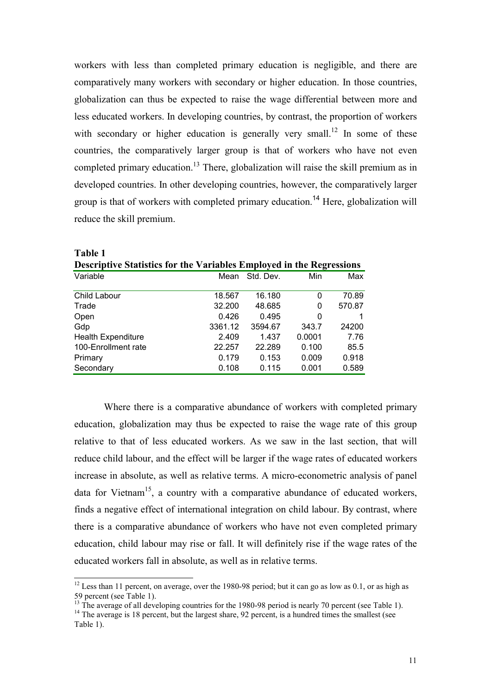workers with less than completed primary education is negligible, and there are comparatively many workers with secondary or higher education. In those countries, globalization can thus be expected to raise the wage differential between more and less educated workers. In developing countries, by contrast, the proportion of workers with secondary or higher education is generally very small.<sup>12</sup> In some of these countries, the comparatively larger group is that of workers who have not even completed primary education.<sup>13</sup> There, globalization will raise the skill premium as in developed countries. In other developing countries, however, the comparatively larger group is that of workers with completed primary education.<sup>14</sup> Here, globalization will reduce the skill premium.

| Descriptive Statistics for the variables Employed in the Regressions |         |           |        |        |
|----------------------------------------------------------------------|---------|-----------|--------|--------|
| Variable                                                             | Mean    | Std. Dev. | Min    | Max    |
| Child Labour                                                         | 18.567  | 16.180    | 0      | 70.89  |
| Trade                                                                | 32,200  | 48.685    | 0      | 570.87 |
| Open                                                                 | 0.426   | 0.495     | 0      |        |
| Gdp                                                                  | 3361.12 | 3594.67   | 343.7  | 24200  |
| <b>Health Expenditure</b>                                            | 2.409   | 1.437     | 0.0001 | 7.76   |
| 100-Enrollment rate                                                  | 22.257  | 22.289    | 0.100  | 85.5   |
| Primary                                                              | 0.179   | 0.153     | 0.009  | 0.918  |
| Secondary                                                            | 0.108   | 0.115     | 0.001  | 0.589  |

**Table 1 Descriptive Statistics for the Variables Employed in the Regressions**

 Where there is a comparative abundance of workers with completed primary education, globalization may thus be expected to raise the wage rate of this group relative to that of less educated workers. As we saw in the last section, that will reduce child labour, and the effect will be larger if the wage rates of educated workers increase in absolute, as well as relative terms. A micro-econometric analysis of panel data for Vietnam<sup>15</sup>, a country with a comparative abundance of educated workers, finds a negative effect of international integration on child labour. By contrast, where there is a comparative abundance of workers who have not even completed primary education, child labour may rise or fall. It will definitely rise if the wage rates of the educated workers fall in absolute, as well as in relative terms.

 $\overline{\phantom{a}}$ 

 $12$  Less than 11 percent, on average, over the 1980-98 period; but it can go as low as 0.1, or as high as 59 percent (see Table 1).

<sup>&</sup>lt;sup>13</sup> The average of all developing countries for the 1980-98 period is nearly 70 percent (see Table 1).

<sup>&</sup>lt;sup>14</sup> The average is 18 percent, but the largest share, 92 percent, is a hundred times the smallest (see Table 1).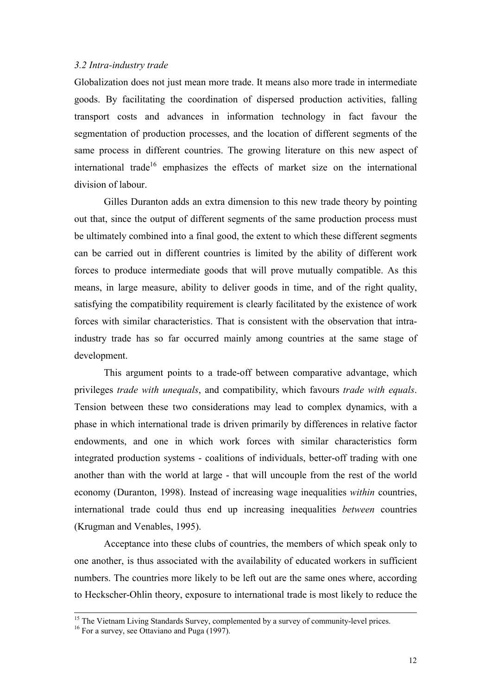#### *3.2 Intra-industry trade*

Globalization does not just mean more trade. It means also more trade in intermediate goods. By facilitating the coordination of dispersed production activities, falling transport costs and advances in information technology in fact favour the segmentation of production processes, and the location of different segments of the same process in different countries. The growing literature on this new aspect of international trade<sup>16</sup> emphasizes the effects of market size on the international division of labour.

 Gilles Duranton adds an extra dimension to this new trade theory by pointing out that, since the output of different segments of the same production process must be ultimately combined into a final good, the extent to which these different segments can be carried out in different countries is limited by the ability of different work forces to produce intermediate goods that will prove mutually compatible. As this means, in large measure, ability to deliver goods in time, and of the right quality, satisfying the compatibility requirement is clearly facilitated by the existence of work forces with similar characteristics. That is consistent with the observation that intraindustry trade has so far occurred mainly among countries at the same stage of development.

 This argument points to a trade-off between comparative advantage, which privileges *trade with unequals*, and compatibility, which favours *trade with equals*. Tension between these two considerations may lead to complex dynamics, with a phase in which international trade is driven primarily by differences in relative factor endowments, and one in which work forces with similar characteristics form integrated production systems - coalitions of individuals, better-off trading with one another than with the world at large - that will uncouple from the rest of the world economy (Duranton, 1998). Instead of increasing wage inequalities *within* countries, international trade could thus end up increasing inequalities *between* countries (Krugman and Venables, 1995).

Acceptance into these clubs of countries, the members of which speak only to one another, is thus associated with the availability of educated workers in sufficient numbers. The countries more likely to be left out are the same ones where, according to Heckscher-Ohlin theory, exposure to international trade is most likely to reduce the

<sup>&</sup>lt;sup>15</sup> The Vietnam Living Standards Survey, complemented by a survey of community-level prices.

<sup>&</sup>lt;sup>16</sup> For a survey, see Ottaviano and Puga  $(1997)$ .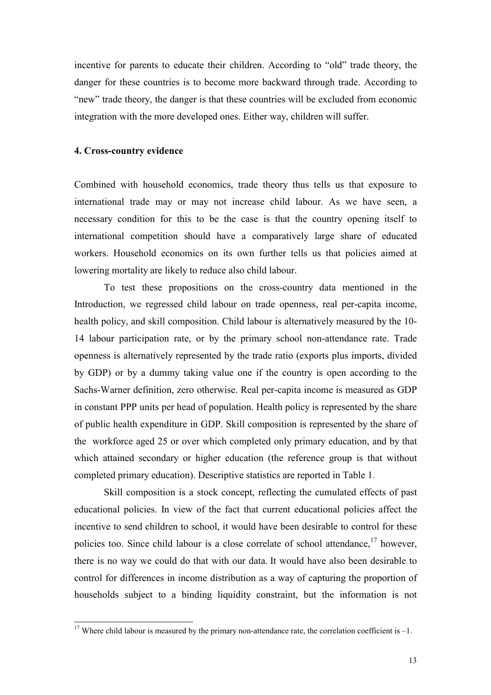incentive for parents to educate their children. According to "old" trade theory, the danger for these countries is to become more backward through trade. According to "new" trade theory, the danger is that these countries will be excluded from economic integration with the more developed ones. Either way, children will suffer.

#### **4. Cross-country evidence**

 $\overline{\phantom{a}}$ 

Combined with household economics, trade theory thus tells us that exposure to international trade may or may not increase child labour. As we have seen, a necessary condition for this to be the case is that the country opening itself to international competition should have a comparatively large share of educated workers. Household economics on its own further tells us that policies aimed at lowering mortality are likely to reduce also child labour.

To test these propositions on the cross-country data mentioned in the Introduction, we regressed child labour on trade openness, real per-capita income, health policy, and skill composition. Child labour is alternatively measured by the 10- 14 labour participation rate, or by the primary school non-attendance rate. Trade openness is alternatively represented by the trade ratio (exports plus imports, divided by GDP) or by a dummy taking value one if the country is open according to the Sachs-Warner definition, zero otherwise. Real per-capita income is measured as GDP in constant PPP units per head of population. Health policy is represented by the share of public health expenditure in GDP. Skill composition is represented by the share of the workforce aged 25 or over which completed only primary education, and by that which attained secondary or higher education (the reference group is that without completed primary education). Descriptive statistics are reported in Table 1.

Skill composition is a stock concept, reflecting the cumulated effects of past educational policies. In view of the fact that current educational policies affect the incentive to send children to school, it would have been desirable to control for these policies too. Since child labour is a close correlate of school attendance,  $17$  however, there is no way we could do that with our data. It would have also been desirable to control for differences in income distribution as a way of capturing the proportion of households subject to a binding liquidity constraint, but the information is not

<sup>&</sup>lt;sup>17</sup> Where child labour is measured by the primary non-attendance rate, the correlation coefficient is  $-1$ .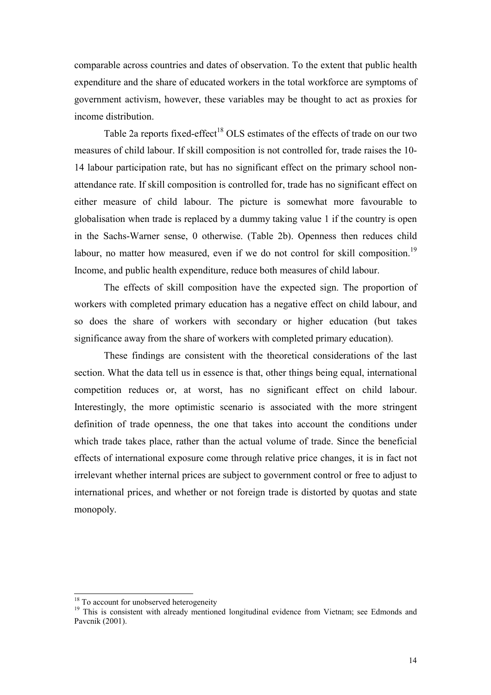comparable across countries and dates of observation. To the extent that public health expenditure and the share of educated workers in the total workforce are symptoms of government activism, however, these variables may be thought to act as proxies for income distribution.

Table 2a reports fixed-effect<sup>18</sup> OLS estimates of the effects of trade on our two measures of child labour. If skill composition is not controlled for, trade raises the 10- 14 labour participation rate, but has no significant effect on the primary school nonattendance rate. If skill composition is controlled for, trade has no significant effect on either measure of child labour. The picture is somewhat more favourable to globalisation when trade is replaced by a dummy taking value 1 if the country is open in the Sachs-Warner sense, 0 otherwise. (Table 2b). Openness then reduces child labour, no matter how measured, even if we do not control for skill composition.<sup>19</sup> Income, and public health expenditure, reduce both measures of child labour.

The effects of skill composition have the expected sign. The proportion of workers with completed primary education has a negative effect on child labour, and so does the share of workers with secondary or higher education (but takes significance away from the share of workers with completed primary education).

These findings are consistent with the theoretical considerations of the last section. What the data tell us in essence is that, other things being equal, international competition reduces or, at worst, has no significant effect on child labour. Interestingly, the more optimistic scenario is associated with the more stringent definition of trade openness, the one that takes into account the conditions under which trade takes place, rather than the actual volume of trade. Since the beneficial effects of international exposure come through relative price changes, it is in fact not irrelevant whether internal prices are subject to government control or free to adjust to international prices, and whether or not foreign trade is distorted by quotas and state monopoly.

 $\overline{a}$ 

<sup>&</sup>lt;sup>18</sup> To account for unobserved heterogeneity

<sup>&</sup>lt;sup>19</sup> This is consistent with already mentioned longitudinal evidence from Vietnam; see Edmonds and Pavcnik (2001).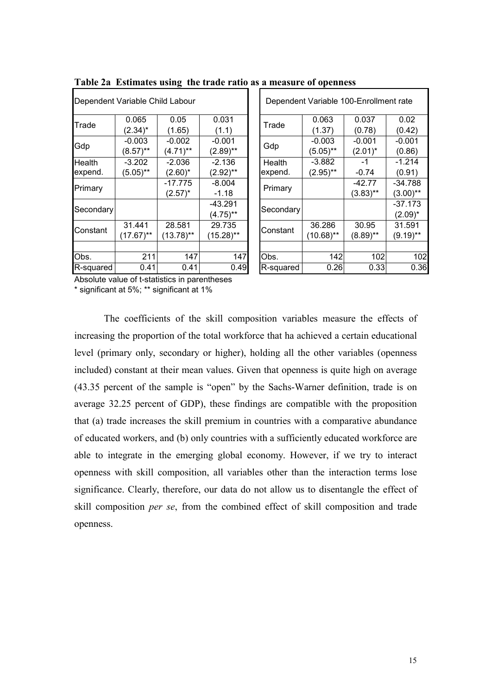| Dependent Variable Child Labour |              |              |              |  |           |                                                                                                                                                                                                                                                                      |             |             |
|---------------------------------|--------------|--------------|--------------|--|-----------|----------------------------------------------------------------------------------------------------------------------------------------------------------------------------------------------------------------------------------------------------------------------|-------------|-------------|
|                                 | 0.065        | 0.05         | 0.031        |  |           | 0.063                                                                                                                                                                                                                                                                | 0.037       | 0.02        |
| Trade                           | $(2.34)^*$   | (1.65)       | (1.1)        |  | Trade     | Dependent Variable 100-Enrollment rate<br>(1.37)<br>(0.78)<br>$-0.003$<br>-0.001<br>$(5.05)$ **<br>$(2.01)^*$<br>$-3.882$<br>-1<br>$(2.95)$ **<br>$-0.74$<br>$-42.77$<br>$(3.83)$ **<br>36.286<br>30.95<br>$(10.68)$ **<br>$(8.89)$ **<br>142<br>102<br>0.33<br>0.26 | (0.42)      |             |
|                                 | $-0.003$     | $-0.002$     | $-0.001$     |  |           |                                                                                                                                                                                                                                                                      |             | $-0.001$    |
| Gdp                             | $(8.57)$ **  | $(4.71)$ **  | $(2.89)$ **  |  | Gdp       |                                                                                                                                                                                                                                                                      |             | (0.86)      |
| Health                          | $-3.202$     | $-2.036$     | $-2.136$     |  | Health    |                                                                                                                                                                                                                                                                      |             | $-1.214$    |
| expend.                         | $(5.05)$ **  | $(2.60)^*$   | $(2.92)$ **  |  | expend.   |                                                                                                                                                                                                                                                                      |             | (0.91)      |
| Primarv                         |              | -17.775      | $-8.004$     |  |           |                                                                                                                                                                                                                                                                      |             | $-34.788$   |
|                                 |              | $(2.57)^*$   | -1.18        |  | Primary   |                                                                                                                                                                                                                                                                      | $(3.00)$ ** |             |
| Secondary                       |              |              | -43.291      |  | Secondary |                                                                                                                                                                                                                                                                      |             | $-37.173$   |
|                                 |              |              | $(4.75)$ **  |  |           |                                                                                                                                                                                                                                                                      |             | $(2.09)^*$  |
| Constant                        | 31.441       | 28.581       | 29.735       |  | Constant  |                                                                                                                                                                                                                                                                      |             | 31.591      |
|                                 | $(17.67)$ ** | $(13.78)$ ** | $(15.28)$ ** |  |           |                                                                                                                                                                                                                                                                      |             | $(9.19)$ ** |
| Obs.                            | 211          | 147          | 147          |  | Obs.      |                                                                                                                                                                                                                                                                      |             | 102         |
|                                 |              |              |              |  |           |                                                                                                                                                                                                                                                                      |             |             |
| R-squared                       | 0.41         | 0.41         | 0.49         |  | R-squared |                                                                                                                                                                                                                                                                      |             | 0.36        |

|  |  |  | Table 2a Estimates using the trade ratio as a measure of openness |
|--|--|--|-------------------------------------------------------------------|
|--|--|--|-------------------------------------------------------------------|

| Dependent Variable 100-Enrollment rate |              |             |             |  |  |  |  |
|----------------------------------------|--------------|-------------|-------------|--|--|--|--|
| Trade                                  | 0.063        | 0.037       | 0.02        |  |  |  |  |
|                                        | (1.37)       | (0.78)      | (0.42)      |  |  |  |  |
|                                        | $-0.003$     | $-0.001$    | $-0.001$    |  |  |  |  |
| Gdp                                    | $(5.05)$ **  | $(2.01)^*$  | (0.86)      |  |  |  |  |
| Health                                 | $-3.882$     | -1          | $-1.214$    |  |  |  |  |
| expend.                                | $(2.95)$ **  | $-0.74$     | (0.91)      |  |  |  |  |
|                                        |              | $-42.77$    | $-34.788$   |  |  |  |  |
| Primary                                |              | $(3.83)$ ** | $(3.00)$ ** |  |  |  |  |
|                                        |              |             | $-37.173$   |  |  |  |  |
| Secondary                              |              |             | $(2.09)^*$  |  |  |  |  |
|                                        | 36.286       | 30.95       | 31.591      |  |  |  |  |
| Constant                               | $(10.68)$ ** | $(8.89)$ ** | $(9.19)$ ** |  |  |  |  |
|                                        |              |             |             |  |  |  |  |
| Obs.                                   | 142          | 102         | 102         |  |  |  |  |
| R-squared                              | 0.26         | 0.33        | 0.36        |  |  |  |  |

Absolute value of t-statistics in parentheses

\* significant at 5%; \*\* significant at 1%

The coefficients of the skill composition variables measure the effects of increasing the proportion of the total workforce that ha achieved a certain educational level (primary only, secondary or higher), holding all the other variables (openness included) constant at their mean values. Given that openness is quite high on average (43.35 percent of the sample is "open" by the Sachs-Warner definition, trade is on average 32.25 percent of GDP), these findings are compatible with the proposition that (a) trade increases the skill premium in countries with a comparative abundance of educated workers, and (b) only countries with a sufficiently educated workforce are able to integrate in the emerging global economy. However, if we try to interact openness with skill composition, all variables other than the interaction terms lose significance. Clearly, therefore, our data do not allow us to disentangle the effect of skill composition *per se*, from the combined effect of skill composition and trade openness.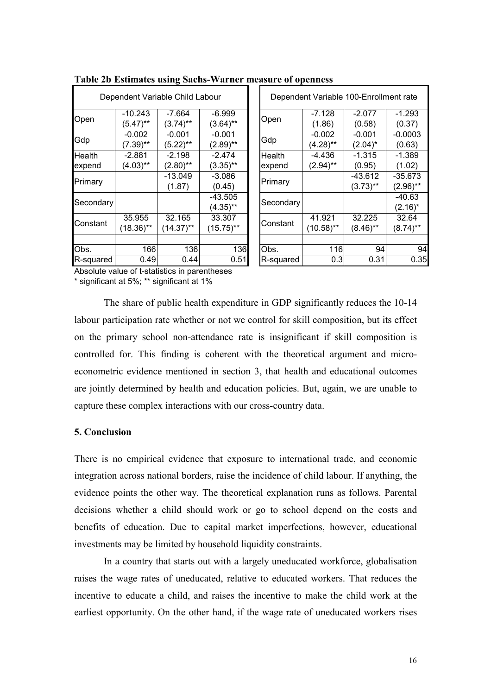|               |              | Dependent Variable Child Labour |              |  |               | Dependent Variable 100-Enrollment rate |             |             |
|---------------|--------------|---------------------------------|--------------|--|---------------|----------------------------------------|-------------|-------------|
|               | -10.243      | $-7.664$                        | $-6.999$     |  |               | -7.128                                 | $-2.077$    | -1.293      |
| Open          | $(5.47)$ **  | $(3.74)$ **                     | $(3.64)$ **  |  | Open          | (1.86)                                 | (0.58)      | (0.37)      |
|               | $-0.002$     | $-0.001$                        | $-0.001$     |  | Gdp           | -0.002                                 | $-0.001$    | $-0.0003$   |
| Gdp           | $(7.39)$ **  | $(5.22)$ **                     | $(2.89)$ **  |  |               | $(4.28)$ **                            | $(2.04)^*$  | (0.63)      |
| <b>Health</b> | $-2.881$     | $-2.198$                        | $-2.474$     |  | <b>Health</b> | -4.436                                 | $-1.315$    | -1.389      |
| expend        | $(4.03)$ **  | $(2.80)$ **                     | $(3.35)$ **  |  | expend        | $(2.94)$ **                            | (0.95)      | (1.02)      |
|               |              | $-13.049$                       | -3.086       |  |               |                                        | -43.612     | -35.673     |
| Primary       |              | (1.87)                          | (0.45)       |  | Primary       |                                        | $(3.73)$ ** | $(2.96)$ ** |
|               |              |                                 | $-43.505$    |  |               |                                        |             | -40.63      |
| Secondary     |              |                                 | $(4.35)$ **  |  | Secondary     |                                        |             | $(2.16)^*$  |
| Constant      | 35.955       | 32.165                          | 33.307       |  | Constant      | 41.921                                 | 32.225      | 32.64       |
|               | $(18.36)$ ** | (14.37)**                       | $(15.75)$ ** |  |               | $(10.58)$ **                           | (8.46)**    | $(8.74)$ ** |
|               |              |                                 |              |  |               |                                        |             |             |
| Obs.          | 166          | 136                             | 136          |  | Obs.          | 116                                    | 94          | 9           |
| R-squared     | 0.49         | 0.44                            | 0.51         |  | R-squared     | 0.3                                    | 0.31        | 0.3         |

|           |              | Dependent Variable Child Labour |                    | Dependent Variable 100-Enrollment rate |               |                                                                             |             |             |
|-----------|--------------|---------------------------------|--------------------|----------------------------------------|---------------|-----------------------------------------------------------------------------|-------------|-------------|
|           | $-10.243$    | -7.664                          | -6.999             |                                        |               | -7.128                                                                      | $-2.077$    | -1.293      |
| Open      | $(5.47)$ **  | $(3.74)$ **                     | $(3.64)$ **        |                                        | Open          | (1.86)                                                                      | (0.58)      | (0.37)      |
|           | $-0.002$     | $-0.001$                        | $-0.001$           |                                        |               | -0.002                                                                      | -0.001      | $-0.0003$   |
| Gdp       | $(7.39)$ **  | $(5.22)$ **                     | $(2.89)$ **        |                                        | Gdp           | $(4.28)$ **                                                                 | $(2.04)^*$  | (0.63)      |
| Health    | -2.881       | $-2.198$                        | $-2.474$           |                                        | <b>Health</b> | -4.436                                                                      | $-1.315$    | $-1.389$    |
| expend    | $(4.03)$ **  | $(2.80)$ **                     | $(3.35)$ **        |                                        | expend        | $(2.94)$ **                                                                 | (0.95)      | (1.02)      |
| Primary   |              | $-13.049$                       | -3.086             |                                        | Primary       |                                                                             | -43.612     | $-35.673$   |
|           |              | (1.87)                          | (0.45)             |                                        |               | $(3.73)$ **                                                                 | $(2.96)$ ** |             |
|           |              |                                 | -43.505            |                                        |               |                                                                             |             | -40.63      |
| Secondary |              |                                 | $(4.35)$ **        |                                        | Secondary     | 41.921<br>32.225<br>$(10.58)$ **<br>$(8.46)$ **<br>116<br>94<br>0.3<br>0.31 | $(2.16)^*$  |             |
| Constant  | 35.955       | 32.165                          | 33.307<br>Constant |                                        |               | 32.64                                                                       |             |             |
|           | $(18.36)$ ** | $(14.37)$ **                    | $(15.75)$ **       |                                        |               |                                                                             |             | $(8.74)$ ** |
|           |              |                                 |                    |                                        |               |                                                                             |             |             |
| Obs.      | 166          | 136                             | 136                |                                        | Obs.          |                                                                             |             | 94          |
| R-squared | 0.49         | 0.44                            | 0.51               |                                        | R-squared     |                                                                             |             | 0.35        |

Absolute value of t-statistics in parentheses \* significant at 5%; \*\* significant at 1%

The share of public health expenditure in GDP significantly reduces the 10-14 labour participation rate whether or not we control for skill composition, but its effect on the primary school non-attendance rate is insignificant if skill composition is controlled for. This finding is coherent with the theoretical argument and microeconometric evidence mentioned in section 3, that health and educational outcomes are jointly determined by health and education policies. But, again, we are unable to capture these complex interactions with our cross-country data.

#### **5. Conclusion**

There is no empirical evidence that exposure to international trade, and economic integration across national borders, raise the incidence of child labour. If anything, the evidence points the other way. The theoretical explanation runs as follows. Parental decisions whether a child should work or go to school depend on the costs and benefits of education. Due to capital market imperfections, however, educational investments may be limited by household liquidity constraints.

In a country that starts out with a largely uneducated workforce, globalisation raises the wage rates of uneducated, relative to educated workers. That reduces the incentive to educate a child, and raises the incentive to make the child work at the earliest opportunity. On the other hand, if the wage rate of uneducated workers rises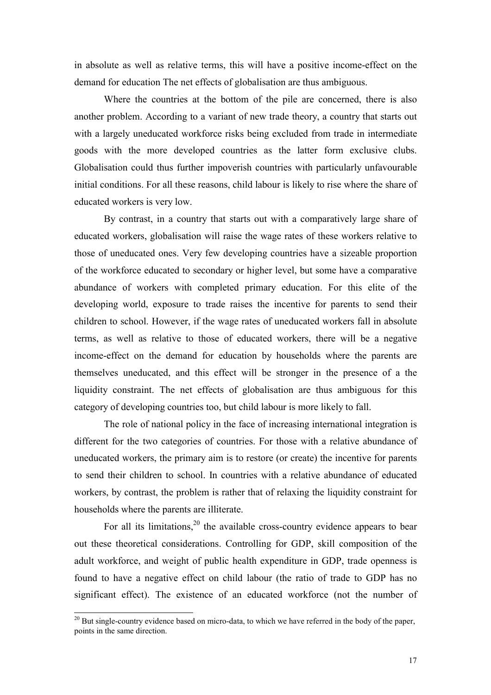in absolute as well as relative terms, this will have a positive income-effect on the demand for education The net effects of globalisation are thus ambiguous.

Where the countries at the bottom of the pile are concerned, there is also another problem. According to a variant of new trade theory, a country that starts out with a largely uneducated workforce risks being excluded from trade in intermediate goods with the more developed countries as the latter form exclusive clubs. Globalisation could thus further impoverish countries with particularly unfavourable initial conditions. For all these reasons, child labour is likely to rise where the share of educated workers is very low.

By contrast, in a country that starts out with a comparatively large share of educated workers, globalisation will raise the wage rates of these workers relative to those of uneducated ones. Very few developing countries have a sizeable proportion of the workforce educated to secondary or higher level, but some have a comparative abundance of workers with completed primary education. For this elite of the developing world, exposure to trade raises the incentive for parents to send their children to school. However, if the wage rates of uneducated workers fall in absolute terms, as well as relative to those of educated workers, there will be a negative income-effect on the demand for education by households where the parents are themselves uneducated, and this effect will be stronger in the presence of a the liquidity constraint. The net effects of globalisation are thus ambiguous for this category of developing countries too, but child labour is more likely to fall.

The role of national policy in the face of increasing international integration is different for the two categories of countries. For those with a relative abundance of uneducated workers, the primary aim is to restore (or create) the incentive for parents to send their children to school. In countries with a relative abundance of educated workers, by contrast, the problem is rather that of relaxing the liquidity constraint for households where the parents are illiterate.

For all its limitations,<sup>20</sup> the available cross-country evidence appears to bear out these theoretical considerations. Controlling for GDP, skill composition of the adult workforce, and weight of public health expenditure in GDP, trade openness is found to have a negative effect on child labour (the ratio of trade to GDP has no significant effect). The existence of an educated workforce (not the number of

 $\overline{a}$ 

 $20$  But single-country evidence based on micro-data, to which we have referred in the body of the paper, points in the same direction.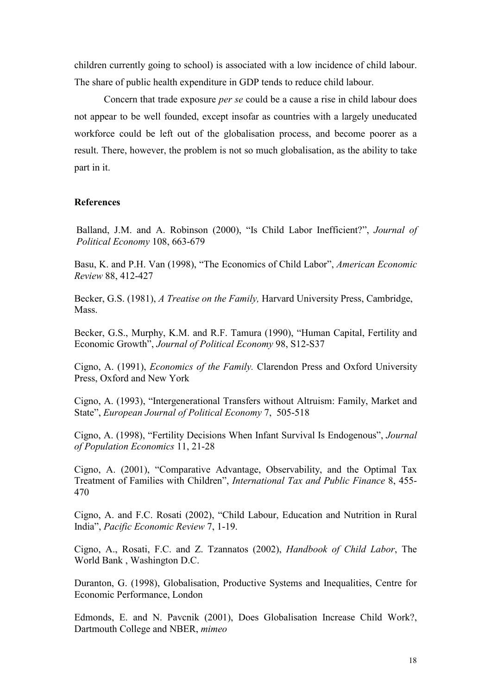children currently going to school) is associated with a low incidence of child labour. The share of public health expenditure in GDP tends to reduce child labour.

Concern that trade exposure *per se* could be a cause a rise in child labour does not appear to be well founded, except insofar as countries with a largely uneducated workforce could be left out of the globalisation process, and become poorer as a result. There, however, the problem is not so much globalisation, as the ability to take part in it.

#### **References**

Balland, J.M. and A. Robinson (2000), "Is Child Labor Inefficient?", *Journal of Political Economy* 108, 663-679

Basu, K. and P.H. Van (1998), "The Economics of Child Labor", *American Economic Review* 88, 412-427

Becker, G.S. (1981), *A Treatise on the Family,* Harvard University Press, Cambridge, Mass.

Becker, G.S., Murphy, K.M. and R.F. Tamura (1990), "Human Capital, Fertility and Economic Growth", *Journal of Political Economy* 98, S12-S37

Cigno, A. (1991), *Economics of the Family.* Clarendon Press and Oxford University Press, Oxford and New York

Cigno, A. (1993), "Intergenerational Transfers without Altruism: Family, Market and State", *European Journal of Political Economy* 7, 505-518

Cigno, A. (1998), "Fertility Decisions When Infant Survival Is Endogenous", *Journal of Population Economics* 11, 21-28

Cigno, A. (2001), "Comparative Advantage, Observability, and the Optimal Tax Treatment of Families with Children", *International Tax and Public Finance* 8, 455- 470

Cigno, A. and F.C. Rosati (2002), "Child Labour, Education and Nutrition in Rural India", *Pacific Economic Review* 7, 1-19.

Cigno, A., Rosati, F.C. and Z. Tzannatos (2002), *Handbook of Child Labor*, The World Bank , Washington D.C.

Duranton, G. (1998), Globalisation, Productive Systems and Inequalities, Centre for Economic Performance, London

Edmonds, E. and N. Pavcnik (2001), Does Globalisation Increase Child Work?, Dartmouth College and NBER, *mimeo*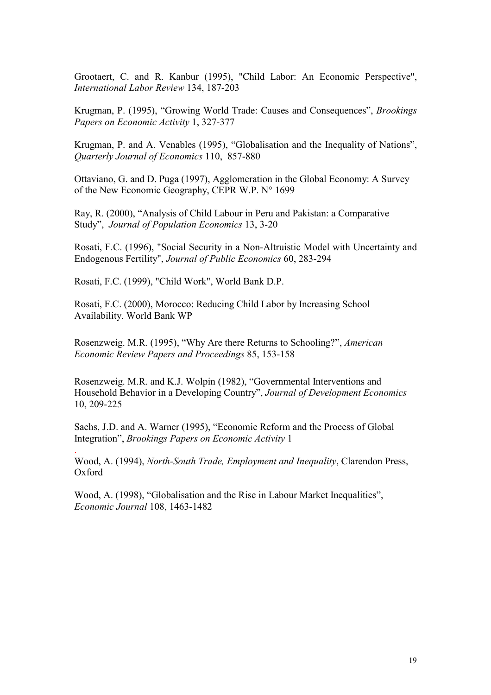Grootaert, C. and R. Kanbur (1995), "Child Labor: An Economic Perspective", *International Labor Review* 134, 187-203

Krugman, P. (1995), "Growing World Trade: Causes and Consequences", *Brookings Papers on Economic Activity* 1, 327-377

Krugman, P. and A. Venables (1995), "Globalisation and the Inequality of Nations", *Quarterly Journal of Economics* 110, 857-880

Ottaviano, G. and D. Puga (1997), Agglomeration in the Global Economy: A Survey of the New Economic Geography, CEPR W.P. N° 1699

Ray, R. (2000), "Analysis of Child Labour in Peru and Pakistan: a Comparative Study", *Journal of Population Economics* 13, 3-20

Rosati, F.C. (1996), "Social Security in a Non-Altruistic Model with Uncertainty and Endogenous Fertility", *Journal of Public Economics* 60, 283-294

Rosati, F.C. (1999), "Child Work", World Bank D.P.

.

Rosati, F.C. (2000), Morocco: Reducing Child Labor by Increasing School Availability. World Bank WP

Rosenzweig. M.R. (1995), "Why Are there Returns to Schooling?", *American Economic Review Papers and Proceedings* 85, 153-158

Rosenzweig. M.R. and K.J. Wolpin (1982), "Governmental Interventions and Household Behavior in a Developing Country", *Journal of Development Economics*  10, 209-225

Sachs, J.D. and A. Warner (1995), "Economic Reform and the Process of Global Integration", *Brookings Papers on Economic Activity* 1

Wood, A. (1994), *North-South Trade, Employment and Inequality*, Clarendon Press, Oxford

Wood, A. (1998), "Globalisation and the Rise in Labour Market Inequalities", *Economic Journal* 108, 1463-1482